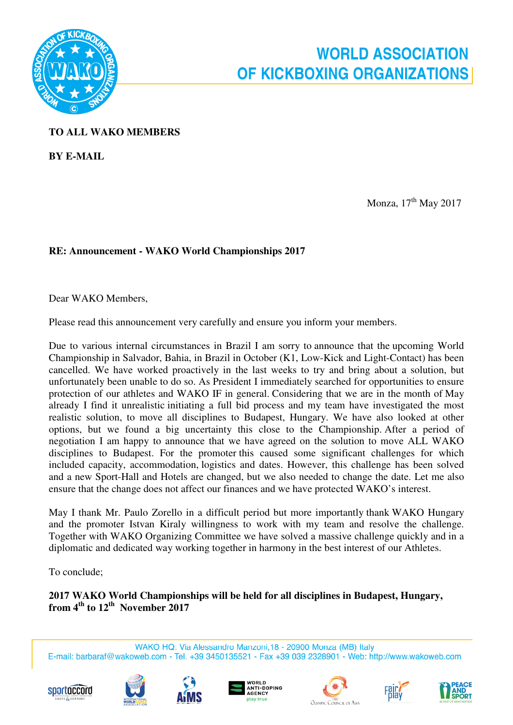

## **TO ALL WAKO MEMBERS**

**BY E-MAIL** 

**Monza**, 17<sup>th</sup> May 2017

## **RE: Announcement - WAKO World Championships 2017**

Dear WAKO Members,

Please read this announcement very carefully and ensure you inform your members.

Due to various internal circumstances in Brazil I am sorry to announce that the upcoming World Championship in Salvador, Bahia, in Brazil in October (K1, Low-Kick and Light-Contact) has been cancelled. We have worked proactively in the last weeks to try and bring about a solution, but unfortunately been unable to do so. As President I immediately searched for opportunities to ensure protection of our athletes and WAKO IF in general. Considering that we are in the month of May already I find it unrealistic initiating a full bid process and my team have investigated the most realistic solution, to move all disciplines to Budapest, Hungary. We have also looked at other options, but we found a big uncertainty this close to the Championship. After a period of negotiation I am happy to announce that we have agreed on the solution to move ALL WAKO disciplines to Budapest. For the promoter this caused some significant challenges for which included capacity, accommodation, logistics and dates. However, this challenge has been solved and a new Sport-Hall and Hotels are changed, but we also needed to change the date. Let me also ensure that the change does not affect our finances and we have protected WAKO's interest.

May I thank Mr. Paulo Zorello in a difficult period but more importantly thank WAKO Hungary and the promoter Istvan Kiraly willingness to work with my team and resolve the challenge. Together with WAKO Organizing Committee we have solved a massive challenge quickly and in a diplomatic and dedicated way working together in harmony in the best interest of our Athletes.

To conclude;

**2017 WAKO World Championships will be held for all disciplines in Budapest, Hungary, from 4th to 12th November 2017** 

WAKO HQ: Via Alessandro Manzoni, 18 - 20900 Monza (MB) Italy E-mail: barbaraf@wakoweb.com - Tel. +39 3450135521 - Fax +39 039 2328901 - Web: http://www.wakoweb.com













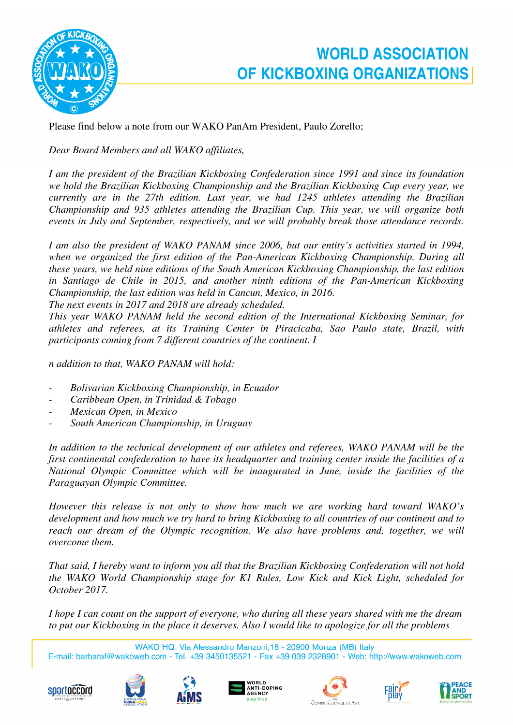

## **WORLD ASSOCIATION** OF KICKBOXING ORGANIZATIONS

Please find below a note from our WAKO PanAm President, Paulo Zorello;

*Dear Board Members and all WAKO affiliates,* 

*I am the president of the Brazilian Kickboxing Confederation since 1991 and since its foundation we hold the Brazilian Kickboxing Championship and the Brazilian Kickboxing Cup every year, we currently are in the 27th edition. Last year, we had 1245 athletes attending the Brazilian Championship and 935 athletes attending the Brazilian Cup. This year, we will organize both events in July and September, respectively, and we will probably break those attendance records.* 

*I am also the president of WAKO PANAM since 2006, but our entity's activities started in 1994, when we organized the first edition of the Pan-American Kickboxing Championship. During all these years, we held nine editions of the South American Kickboxing Championship, the last edition in Santiago de Chile in 2015, and another ninth editions of the Pan-American Kickboxing Championship, the last edition was held in Cancun, Mexico, in 2016.* 

*The next events in 2017 and 2018 are already scheduled.* 

*This year WAKO PANAM held the second edition of the International Kickboxing Seminar, for athletes and referees, at its Training Center in Piracicaba, Sao Paulo state, Brazil, with participants coming from 7 different countries of the continent. I* 

*n addition to that, WAKO PANAM will hold:* 

- *Bolivarian Kickboxing Championship, in Ecuador*
- *Caribbean Open, in Trinidad & Tobago*
- *Mexican Open, in Mexico*
- *South American Championship, in Uruguay*

*In addition to the technical development of our athletes and referees, WAKO PANAM will be the first continental confederation to have its headquarter and training center inside the facilities of a National Olympic Committee which will be inaugurated in June, inside the facilities of the Paraguayan Olympic Committee.* 

*However this release is not only to show how much we are working hard toward WAKO's development and how much we try hard to bring Kickboxing to all countries of our continent and to reach our dream of the Olympic recognition. We also have problems and, together, we will overcome them.* 

*That said, I hereby want to inform you all that the Brazilian Kickboxing Confederation will not hold the WAKO World Championship stage for K1 Rules, Low Kick and Kick Light, scheduled for October 2017.* 

*I hope I can count on the support of everyone, who during all these years shared with me the dream to put our Kickboxing in the place it deserves. Also I would like to apologize for all the problems* 

WAKO HQ: Via Alessandro Manzoni, 18 - 20900 Monza (MB) Italy

E-mail: barbaraf@wakoweb.com - Tel. +39 3450135521 - Fax +39 039 2328901 - Web: http://www.wakoweb.com